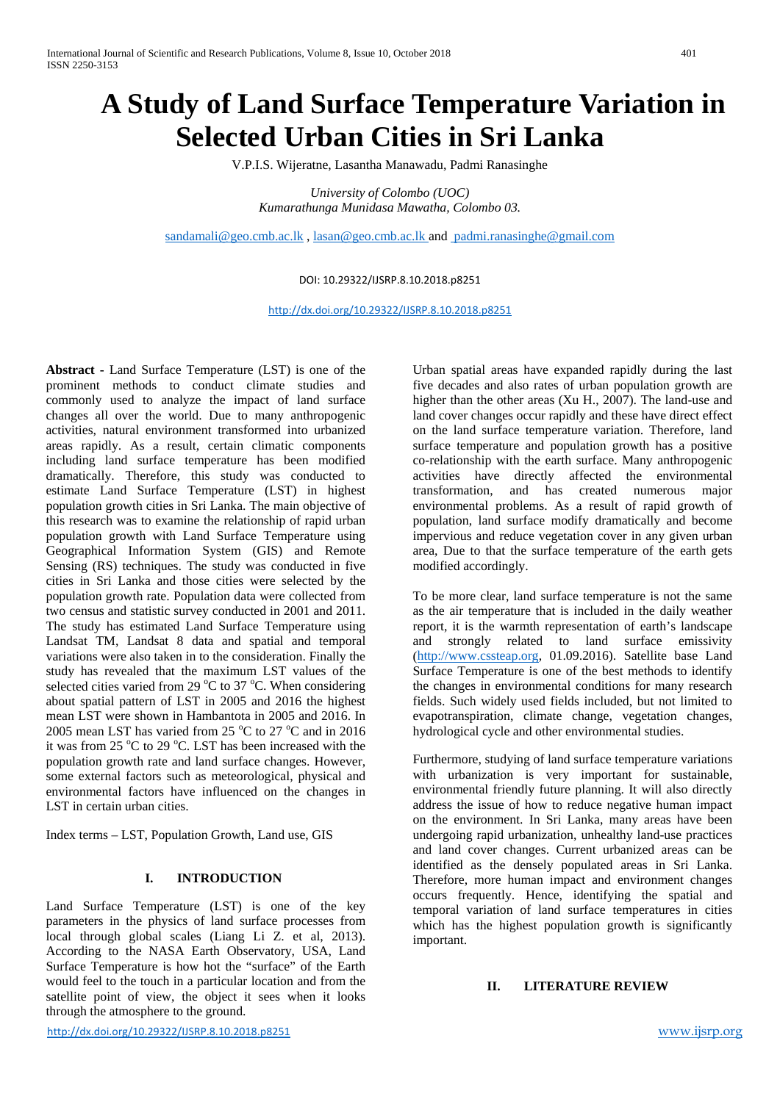# **A Study of Land Surface Temperature Variation in Selected Urban Cities in Sri Lanka**

V.P.I.S. Wijeratne, Lasantha Manawadu, Padmi Ranasinghe

*University of Colombo (UOC) Kumarathunga Munidasa Mawatha, Colombo 03.* 

[sandamali@geo.cmb.ac.lk](mailto:sandamali@geo.cmb.ac.lk) , [lasan@geo.cmb.ac.lk](mailto:lasan@geo.cmb.ac.lk) and [padmi.ranasinghe@gmail.com](mailto:padmi.ranasinghe@gmail.com)

# DOI: 10.29322/IJSRP.8.10.2018.p8251

<http://dx.doi.org/10.29322/IJSRP.8.10.2018.p8251>

**Abstract -** Land Surface Temperature (LST) is one of the prominent methods to conduct climate studies and commonly used to analyze the impact of land surface changes all over the world. Due to many anthropogenic activities, natural environment transformed into urbanized areas rapidly. As a result, certain climatic components including land surface temperature has been modified dramatically. Therefore, this study was conducted to estimate Land Surface Temperature (LST) in highest population growth cities in Sri Lanka. The main objective of this research was to examine the relationship of rapid urban population growth with Land Surface Temperature using Geographical Information System (GIS) and Remote Sensing (RS) techniques. The study was conducted in five cities in Sri Lanka and those cities were selected by the population growth rate. Population data were collected from two census and statistic survey conducted in 2001 and 2011. The study has estimated Land Surface Temperature using Landsat TM, Landsat 8 data and spatial and temporal variations were also taken in to the consideration. Finally the study has revealed that the maximum LST values of the selected cities varied from 29  $^{\circ}$ C to 37  $^{\circ}$ C. When considering about spatial pattern of LST in 2005 and 2016 the highest mean LST were shown in Hambantota in 2005 and 2016. In 2005 mean LST has varied from 25  $^{\circ}$ C to 27  $^{\circ}$ C and in 2016 it was from 25  $\mathrm{^{\circ}C}$  to 29  $\mathrm{^{\circ}C}$ . LST has been increased with the population growth rate and land surface changes. However, some external factors such as meteorological, physical and environmental factors have influenced on the changes in LST in certain urban cities.

Index terms – LST, Population Growth, Land use, GIS

# **I. INTRODUCTION**

Land Surface Temperature (LST) is one of the key parameters in the physics of land surface processes from local through global scales (Liang Li Z. et al, 2013). According to the NASA Earth Observatory, USA, Land Surface Temperature is how hot the "surface" of the Earth would feel to the touch in a particular location and from the satellite point of view, the object it sees when it looks through the atmosphere to the ground.

Urban spatial areas have expanded rapidly during the last five decades and also rates of urban population growth are higher than the other areas (Xu H., 2007). The land-use and land cover changes occur rapidly and these have direct effect on the land surface temperature variation. Therefore, land surface temperature and population growth has a positive co-relationship with the earth surface. Many anthropogenic activities have directly affected the environmental transformation, and has created numerous major environmental problems. As a result of rapid growth of population, land surface modify dramatically and become impervious and reduce vegetation cover in any given urban area, Due to that the surface temperature of the earth gets modified accordingly.

To be more clear, land surface temperature is not the same as the air temperature that is included in the daily weather report, it is the warmth representation of earth's landscape and strongly related to land surface emissivity [\(http://www.cssteap.org,](http://www.cssteap.org/) 01.09.2016). Satellite base Land Surface Temperature is one of the best methods to identify the changes in environmental conditions for many research fields. Such widely used fields included, but not limited to evapotranspiration, climate change, vegetation changes, hydrological cycle and other environmental studies.

Furthermore, studying of land surface temperature variations with urbanization is very important for sustainable, environmental friendly future planning. It will also directly address the issue of how to reduce negative human impact on the environment. In Sri Lanka, many areas have been undergoing rapid urbanization, unhealthy land-use practices and land cover changes. Current urbanized areas can be identified as the densely populated areas in Sri Lanka. Therefore, more human impact and environment changes occurs frequently. Hence, identifying the spatial and temporal variation of land surface temperatures in cities which has the highest population growth is significantly important.

## **II. LITERATURE REVIEW**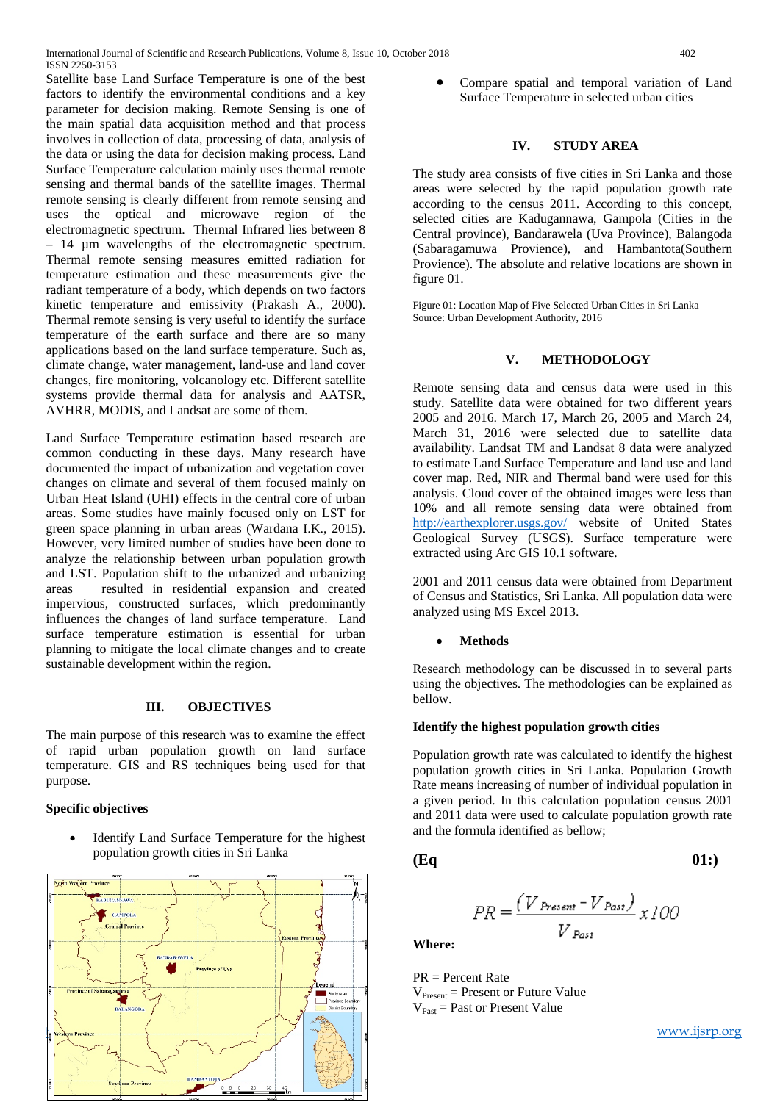Satellite base Land Surface Temperature is one of the best factors to identify the environmental conditions and a key parameter for decision making. Remote Sensing is one of the main spatial data acquisition method and that process involves in collection of data, processing of data, analysis of the data or using the data for decision making process. Land Surface Temperature calculation mainly uses thermal remote sensing and thermal bands of the satellite images. Thermal remote sensing is clearly different from remote sensing and uses the optical and microwave region of the electromagnetic spectrum. Thermal Infrared lies between 8 – 14 µm wavelengths of the electromagnetic spectrum. Thermal remote sensing measures emitted radiation for temperature estimation and these measurements give the radiant temperature of a body, which depends on two factors kinetic temperature and emissivity (Prakash A., 2000). Thermal remote sensing is very useful to identify the surface temperature of the earth surface and there are so many applications based on the land surface temperature. Such as, climate change, water management, land-use and land cover changes, fire monitoring, volcanology etc. Different satellite systems provide thermal data for analysis and AATSR, AVHRR, MODIS, and Landsat are some of them.

Land Surface Temperature estimation based research are common conducting in these days. Many research have documented the impact of urbanization and vegetation cover changes on climate and several of them focused mainly on Urban Heat Island (UHI) effects in the central core of urban areas. Some studies have mainly focused only on LST for green space planning in urban areas (Wardana I.K., 2015). However, very limited number of studies have been done to analyze the relationship between urban population growth and LST. Population shift to the urbanized and urbanizing areas resulted in residential expansion and created impervious, constructed surfaces, which predominantly influences the changes of land surface temperature. Land surface temperature estimation is essential for urban planning to mitigate the local climate changes and to create sustainable development within the region.

### **III. OBJECTIVES**

The main purpose of this research was to examine the effect of rapid urban population growth on land surface temperature. GIS and RS techniques being used for that purpose.

# **Specific objectives**

Identify Land Surface Temperature for the highest population growth cities in Sri Lanka



• Compare spatial and temporal variation of Land Surface Temperature in selected urban cities

# **IV. STUDY AREA**

The study area consists of five cities in Sri Lanka and those areas were selected by the rapid population growth rate according to the census 2011. According to this concept, selected cities are Kadugannawa, Gampola (Cities in the Central province), Bandarawela (Uva Province), Balangoda (Sabaragamuwa Provience), and Hambantota(Southern Provience). The absolute and relative locations are shown in figure 01.

Figure 01: Location Map of Five Selected Urban Cities in Sri Lanka Source: Urban Development Authority, 2016

#### **V. METHODOLOGY**

Remote sensing data and census data were used in this study. Satellite data were obtained for two different years 2005 and 2016. March 17, March 26, 2005 and March 24, March 31, 2016 were selected due to satellite data availability. Landsat TM and Landsat 8 data were analyzed to estimate Land Surface Temperature and land use and land cover map. Red, NIR and Thermal band were used for this analysis. Cloud cover of the obtained images were less than 10% and all remote sensing data were obtained from <http://earthexplorer.usgs.gov/> website of United States Geological Survey (USGS). Surface temperature were extracted using Arc GIS 10.1 software.

2001 and 2011 census data were obtained from Department of Census and Statistics, Sri Lanka. All population data were analyzed using MS Excel 2013.

#### • **Methods**

Research methodology can be discussed in to several parts using the objectives. The methodologies can be explained as bellow.

#### **Identify the highest population growth cities**

Population growth rate was calculated to identify the highest population growth cities in Sri Lanka. Population Growth Rate means increasing of number of individual population in a given period. In this calculation population census 2001 and 2011 data were used to calculate population growth rate and the formula identified as bellow;

**(Eq 01:)**

$$
PR = \frac{(V_{\text{Present}} - V_{\text{Post}})}{V_{\text{Post}}} \times 100
$$

**Where:**

PR = Percent Rate  $V_{Present} = Present$  or Future Value  $V_{\text{Fast}}$  = Past or Present Value

[www.ijsrp.org](http://ijsrp.org/)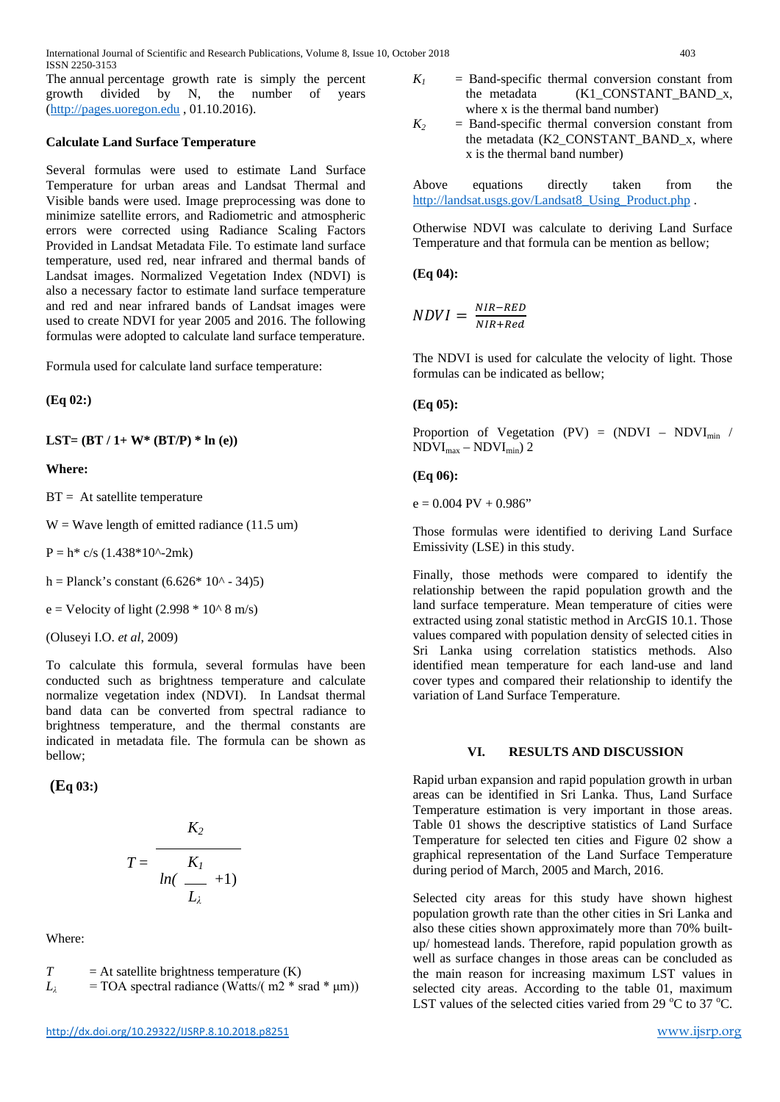International Journal of Scientific and Research Publications, Volume 8, Issue 10, October 2018 403 ISSN 2250-3153

The annual percentage growth rate is simply the percent growth divided by N, the number of years [\(http://pages.uoregon.edu](http://pages.uoregon.edu/) , 01.10.2016).

#### **Calculate Land Surface Temperature**

Several formulas were used to estimate Land Surface Temperature for urban areas and Landsat Thermal and Visible bands were used. Image preprocessing was done to minimize satellite errors, and Radiometric and atmospheric errors were corrected using Radiance Scaling Factors Provided in Landsat Metadata File. To estimate land surface temperature, used red, near infrared and thermal bands of Landsat images. Normalized Vegetation Index (NDVI) is also a necessary factor to estimate land surface temperature and red and near infrared bands of Landsat images were used to create NDVI for year 2005 and 2016. The following formulas were adopted to calculate land surface temperature.

Formula used for calculate land surface temperature:

**(Eq 02:)**

**LST= (BT / 1+ W\* (BT/P) \* ln (e))** 

#### **Where:**

 $BT = At$  satellite temperature

 $W = Wave$  length of emitted radiance (11.5 um)

 $P = h^*$  c/s (1.438\*10^-2mk)

h = Planck's constant  $(6.626 * 10<sup>0</sup> - 34)5$ )

 $e =$  Velocity of light (2.998  $*$  10^ 8 m/s)

(Oluseyi I.O. *et al*, 2009)

To calculate this formula, several formulas have been conducted such as brightness temperature and calculate normalize vegetation index (NDVI). In Landsat thermal band data can be converted from spectral radiance to brightness temperature, and the thermal constants are indicated in metadata file. The formula can be shown as bellow;

**(Eq 03:)**

$$
T = \frac{K_2}{\ln(\frac{K_1}{L_\lambda}+1)}
$$

Where:

$$
T = At satellite brightness temperature (K)
$$

$$
L_{\lambda} = \text{TOA spectral radiance (Watts/( m2 * srad * \mu m))}
$$

- $K_I$  = Band-specific thermal conversion constant from the metadata (K1\_CONSTANT\_BAND\_x, where x is the thermal band number)
- $K_2$  = Band-specific thermal conversion constant from the metadata (K2\_CONSTANT\_BAND\_x, where x is the thermal band number)

Above equations directly taken from the [http://landsat.usgs.gov/Landsat8\\_Using\\_Product.php](http://landsat.usgs.gov/Landsat8_Using_Product.php) .

Otherwise NDVI was calculate to deriving Land Surface Temperature and that formula can be mention as bellow;

**(Eq 04):**

$$
NDVI = \frac{NIR - RED}{NIR + Red}
$$

The NDVI is used for calculate the velocity of light. Those formulas can be indicated as bellow;

## **(Eq 05):**

Proportion of Vegetation (PV) =  $(NDVI - NDVI_{min})$  $NDVI_{max} - NDVI_{min}$ ) 2

#### **(Eq 06):**

 $e = 0.004 \text{ PV} + 0.986$ "

Those formulas were identified to deriving Land Surface Emissivity (LSE) in this study.

Finally, those methods were compared to identify the relationship between the rapid population growth and the land surface temperature. Mean temperature of cities were extracted using zonal statistic method in ArcGIS 10.1. Those values compared with population density of selected cities in Sri Lanka using correlation statistics methods. Also identified mean temperature for each land-use and land cover types and compared their relationship to identify the variation of Land Surface Temperature.

#### **VI. RESULTS AND DISCUSSION**

Rapid urban expansion and rapid population growth in urban areas can be identified in Sri Lanka. Thus, Land Surface Temperature estimation is very important in those areas. Table 01 shows the descriptive statistics of Land Surface Temperature for selected ten cities and Figure 02 show a graphical representation of the Land Surface Temperature during period of March, 2005 and March, 2016.

Selected city areas for this study have shown highest population growth rate than the other cities in Sri Lanka and also these cities shown approximately more than 70% builtup/ homestead lands. Therefore, rapid population growth as well as surface changes in those areas can be concluded as the main reason for increasing maximum LST values in selected city areas. According to the table 01, maximum LST values of the selected cities varied from 29  $^{\circ}$ C to 37  $^{\circ}$ C.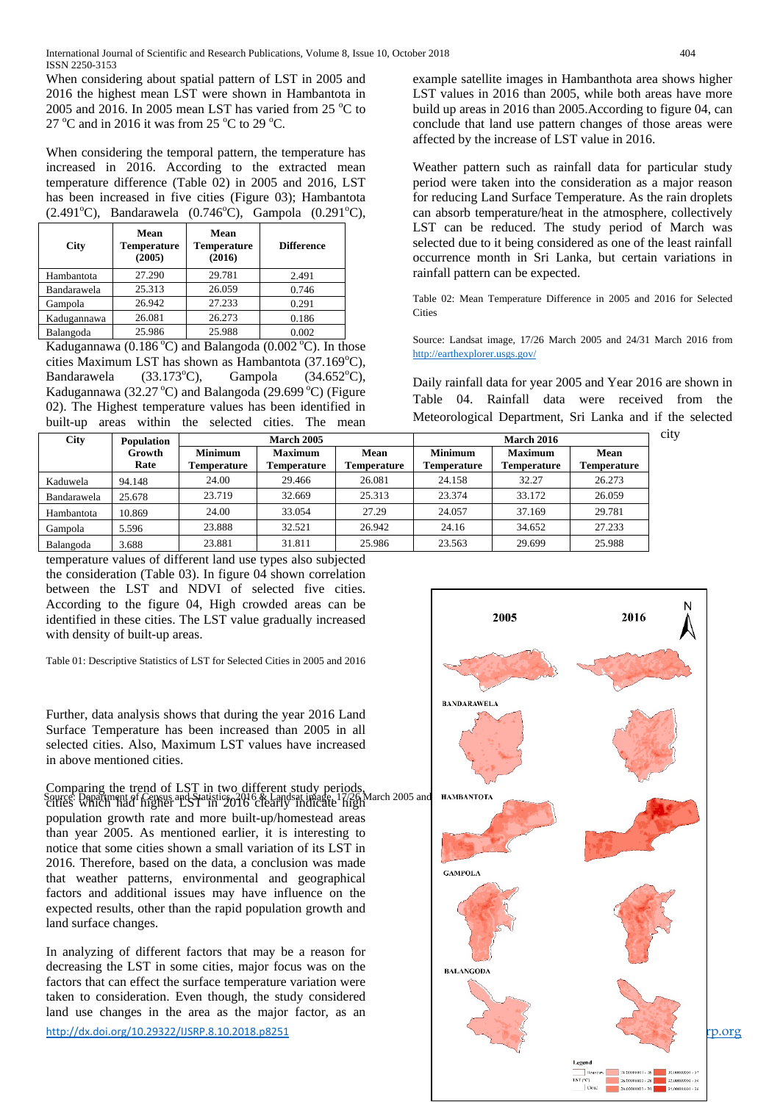When considering about spatial pattern of LST in 2005 and 2016 the highest mean LST were shown in Hambantota in 2005 and 2016. In 2005 mean LST has varied from 25  $^{\circ}$ C to 27 °C and in 2016 it was from 25 °C to 29 °C.

When considering the temporal pattern, the temperature has increased in 2016. According to the extracted mean temperature difference (Table 02) in 2005 and 2016, LST has been increased in five cities (Figure 03); Hambantota  $(2.491^{\circ}C)$ , Bandarawela  $(0.746^{\circ}C)$ , Gampola  $(0.291^{\circ}C)$ ,

| City        | Mean<br><b>Temperature</b><br>(2005) | Mean<br><b>Temperature</b><br>(2016) | <b>Difference</b> |
|-------------|--------------------------------------|--------------------------------------|-------------------|
| Hambantota  | 27.290                               | 29.781                               | 2.491             |
| Bandarawela | 25.313                               | 26.059                               | 0.746             |
| Gampola     | 26.942                               | 27.233                               | 0.291             |
| Kadugannawa | 26.081                               | 26.273                               | 0.186             |
| Balangoda   | 25.986                               | 25.988                               | 0.002             |
| -- -        | (0, 1, 0, 1, 0, 0, 0)                | .                                    | (0.0000)          |

Kadugannawa (0.186 °C) and Balangoda (0.002 °C). In those cities Maximum LST has shown as Hambantota (37.169°C), Bandarawela  $(33.173^{\circ}C)$ , Gampola  $(34.652^{\circ}C),$ Kadugannawa (32.27 °C) and Balangoda (29.699 °C) (Figure 02). The Highest temperature values has been identified in built-up areas within the selected cities. The mean

**City Population March 2005 March 2016 March 2016 City Growth Rate March 2005 March 2016 Minimum Temperature Maximum Temperature Mean Temperature Minimum Temperature Maximum Temperature Mean Temperature** Kaduwela 94.148 | 24.00 | 29.466 | 26.081 | 24.158 | 32.27 | 26.273 Bandarawela 25.678 | 23.719 | 32.669 | 25.313 | 23.374 | 33.172 | 26.059 Hambantota 10.869 24.00 33.054 27.29 24.057 37.169 29.781 Gampola 5.596 | 23.888 | 32.521 | 26.942 | 24.16 | 34.652 | 27.233 Balangoda 3.688 23.881 31.811 25.986 23.563 29.699 25.988

temperature values of different land use types also subjected the consideration (Table 03). In figure 04 shown correlation between the LST and NDVI of selected five cities. According to the figure 04, High crowded areas can be identified in these cities. The LST value gradually increased with density of built-up areas.

Table 01: Descriptive Statistics of LST for Selected Cities in 2005 and 2016

Further, data analysis shows that during the year 2016 Land Surface Temperature has been increased than 2005 in all selected cities. Also, Maximum LST values have increased in above mentioned cities.

Comparing the trend of LST in two different study periods,

Source: Department of Census and Statistics, 2016 & Landsat image, 17/26 March 2005 and **HAMBANTOTA**<br>Cities Which had higher LST in 2016 clearly indicate high [population growth rate](http://earthexplorer.usgs.gov/) and more built-up/homestead areas than year 2005. As mentioned earlier, it is interesting to notice that some cities shown a small variation of its LST in 2016. Therefore, based on the data, a conclusion was made that weather patterns, environmental and geographical factors and additional issues may have influence on the expected results, other than the rapid population growth and land surface changes.

In analyzing of different factors that may be a reason for decreasing the LST in some cities, major focus was on the factors that can effect the surface temperature variation were taken to consideration. Even though, the study considered land use changes in the area as the major factor, as an

example satellite images in Hambanthota area shows higher LST values in 2016 than 2005, while both areas have more build up areas in 2016 than 2005.According to figure 04, can conclude that land use pattern changes of those areas were affected by the increase of LST value in 2016.

Weather pattern such as rainfall data for particular study period were taken into the consideration as a major reason for reducing Land Surface Temperature. As the rain droplets can absorb temperature/heat in the atmosphere, collectively LST can be reduced. The study period of March was selected due to it being considered as one of the least rainfall occurrence month in Sri Lanka, but certain variations in rainfall pattern can be expected.

Table 02: Mean Temperature Difference in 2005 and 2016 for Selected **Cities** 

Source: Landsat image, 17/26 March 2005 and 24/31 March 2016 from <http://earthexplorer.usgs.gov/>

Daily rainfall data for year 2005 and Year 2016 are shown in Table 04. Rainfall data were received from the Meteorological Department, Sri Lanka and if the selected

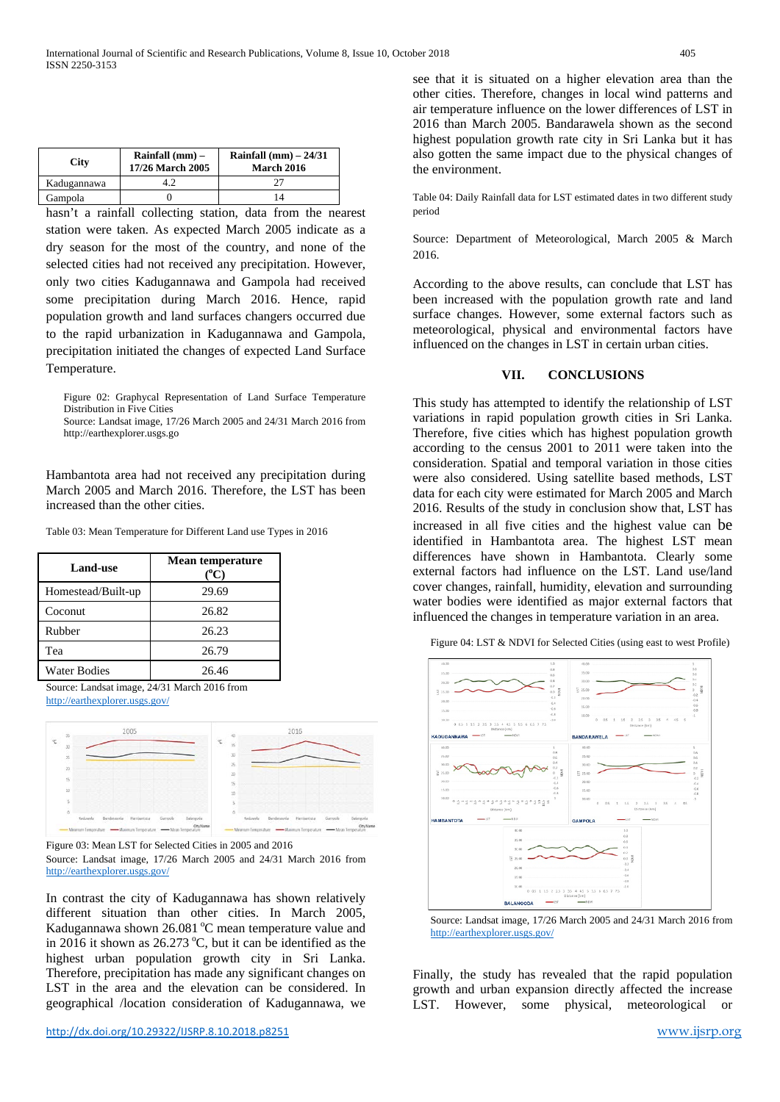| <b>City</b> | Rainfall $(mm)$ –<br>17/26 March 2005 | Rainfall $(mm) - 24/31$<br>March 2016 |
|-------------|---------------------------------------|---------------------------------------|
| Kadugannawa |                                       |                                       |
| Gampola     |                                       |                                       |

hasn't a rainfall collecting station, data from the nearest station were taken. As expected March 2005 indicate as a dry season for the most of the country, and none of the selected cities had not received any precipitation. However, only two cities Kadugannawa and Gampola had received some precipitation during March 2016. Hence, rapid population growth and land surfaces changers occurred due to the rapid urbanization in Kadugannawa and Gampola, precipitation initiated the changes of expected Land Surface Temperature.

Figure 02: Graphycal Representation of Land Surface Temperature Distribution in Five Cities

Source: Landsat image, 17/26 March 2005 and 24/31 March 2016 from http://earthexplorer.usgs.go

Hambantota area had not received any precipitation during March 2005 and March 2016. Therefore, the LST has been increased than the other cities.

Table 03: Mean Temperature for Different Land use Types in 2016

| <b>Land-use</b>     | <b>Mean temperature</b><br>$(^0C)$ |  |
|---------------------|------------------------------------|--|
| Homestead/Built-up  | 29.69                              |  |
| Coconut             | 26.82                              |  |
| Rubber              | 26.23                              |  |
| Tea                 | 26.79                              |  |
| <b>Water Bodies</b> | 26.46                              |  |

Source: Landsat image, 24/31 March 2016 from <http://earthexplorer.usgs.gov/>



Figure 03: Mean LST for Selected Cities in 2005 and 2016

Source: Landsat image, 17/26 March 2005 and 24/31 March 2016 from <http://earthexplorer.usgs.gov/>

In contrast the city of Kadugannawa has shown relatively different situation than other cities. In March 2005, Kadugannawa shown 26.081 °C mean temperature value and in 2016 it shown as  $26.273 \degree C$ , but it can be identified as the highest urban population growth city in Sri Lanka. Therefore, precipitation has made any significant changes on LST in the area and the elevation can be considered. In geographical /location consideration of Kadugannawa, we

see that it is situated on a higher elevation area than the other cities. Therefore, changes in local wind patterns and air temperature influence on the lower differences of LST in 2016 than March 2005. Bandarawela shown as the second highest population growth rate city in Sri Lanka but it has also gotten the same impact due to the physical changes of the environment.

Table 04: Daily Rainfall data for LST estimated dates in two different study period

Source: Department of Meteorological, March 2005 & March 2016.

According to the above results, can conclude that LST has been increased with the population growth rate and land surface changes. However, some external factors such as meteorological, physical and environmental factors have influenced on the changes in LST in certain urban cities.

#### **VII. CONCLUSIONS**

This study has attempted to identify the relationship of LST variations in rapid population growth cities in Sri Lanka. Therefore, five cities which has highest population growth according to the census 2001 to 2011 were taken into the consideration. Spatial and temporal variation in those cities were also considered. Using satellite based methods, LST data for each city were estimated for March 2005 and March 2016. Results of the study in conclusion show that, LST has increased in all five cities and the highest value can be identified in Hambantota area. The highest LST mean differences have shown in Hambantota. Clearly some external factors had influence on the LST. Land use/land cover changes, rainfall, humidity, elevation and surrounding water bodies were identified as major external factors that influenced the changes in temperature variation in an area.

Figure 04: LST & NDVI for Selected Cities (using east to west Profile)



Source: Landsat image, 17/26 March 2005 and 24/31 March 2016 from <http://earthexplorer.usgs.gov/>

Finally, the study has revealed that the rapid population growth and urban expansion directly affected the increase LST. However, some physical, meteorological or